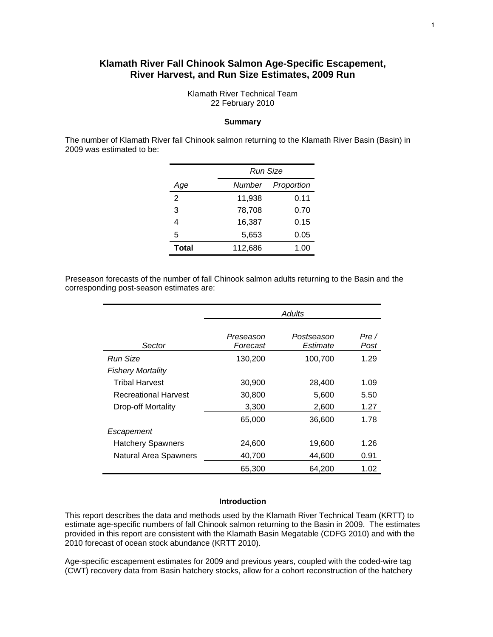## **Klamath River Fall Chinook Salmon Age-Specific Escapement, River Harvest, and Run Size Estimates, 2009 Run**

Klamath River Technical Team 22 February 2010

#### **Summary**

The number of Klamath River fall Chinook salmon returning to the Klamath River Basin (Basin) in 2009 was estimated to be:

|       |         | Run Size   |  |  |  |  |  |
|-------|---------|------------|--|--|--|--|--|
| Age   | Number  | Proportion |  |  |  |  |  |
| 2     | 11,938  | 0.11       |  |  |  |  |  |
| 3     | 78,708  | 0.70       |  |  |  |  |  |
| 4     | 16,387  | 0.15       |  |  |  |  |  |
| 5     | 5,653   | 0.05       |  |  |  |  |  |
| Total | 112,686 | 1.00       |  |  |  |  |  |

Preseason forecasts of the number of fall Chinook salmon adults returning to the Basin and the corresponding post-season estimates are:

|                              | Adults                |                        |              |  |  |  |
|------------------------------|-----------------------|------------------------|--------------|--|--|--|
| Sector                       | Preseason<br>Forecast | Postseason<br>Estimate | Pre/<br>Post |  |  |  |
| Run Size                     | 130,200               | 100,700                | 1.29         |  |  |  |
| <b>Fishery Mortality</b>     |                       |                        |              |  |  |  |
| Tribal Harvest               | 30,900                | 28,400                 | 1.09         |  |  |  |
| <b>Recreational Harvest</b>  | 30,800                | 5,600                  | 5.50         |  |  |  |
| Drop-off Mortality           | 3,300                 | 2,600                  | 1.27         |  |  |  |
|                              | 65,000                | 36,600                 | 1.78         |  |  |  |
| Escapement                   |                       |                        |              |  |  |  |
| <b>Hatchery Spawners</b>     | 24,600                | 19,600                 | 1.26         |  |  |  |
| <b>Natural Area Spawners</b> | 40,700                | 44,600                 | 0.91         |  |  |  |
|                              | 65,300                | 64,200                 | 1.02         |  |  |  |

#### **Introduction**

This report describes the data and methods used by the Klamath River Technical Team (KRTT) to estimate age-specific numbers of fall Chinook salmon returning to the Basin in 2009. The estimates provided in this report are consistent with the Klamath Basin Megatable (CDFG 2010) and with the 2010 forecast of ocean stock abundance (KRTT 2010).

Age-specific escapement estimates for 2009 and previous years, coupled with the coded-wire tag (CWT) recovery data from Basin hatchery stocks, allow for a cohort reconstruction of the hatchery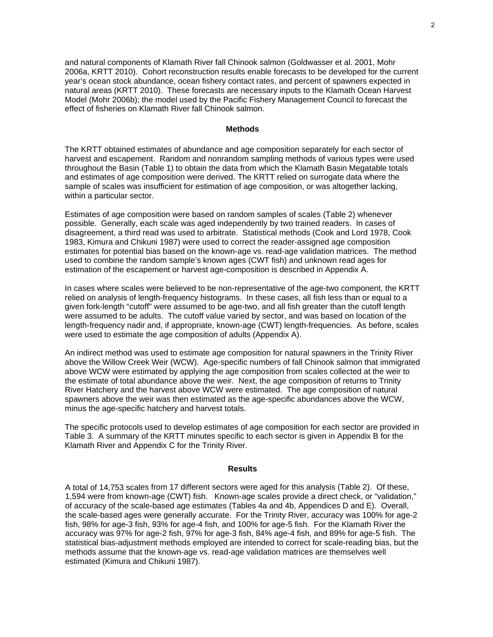and natural components of Klamath River fall Chinook salmon (Goldwasser et al. 2001, Mohr 2006a, KRTT 2010). Cohort reconstruction results enable forecasts to be developed for the current year's ocean stock abundance, ocean fishery contact rates, and percent of spawners expected in natural areas (KRTT 2010). These forecasts are necessary inputs to the Klamath Ocean Harvest Model (Mohr 2006b); the model used by the Pacific Fishery Management Council to forecast the effect of fisheries on Klamath River fall Chinook salmon.

#### **Methods**

The KRTT obtained estimates of abundance and age composition separately for each sector of harvest and escapement. Random and nonrandom sampling methods of various types were used throughout the Basin (Table 1) to obtain the data from which the Klamath Basin Megatable totals and estimates of age composition were derived. The KRTT relied on surrogate data where the sample of scales was insufficient for estimation of age composition, or was altogether lacking, within a particular sector.

Estimates of age composition were based on random samples of scales (Table 2) whenever possible. Generally, each scale was aged independently by two trained readers. In cases of disagreement, a third read was used to arbitrate. Statistical methods (Cook and Lord 1978, Cook 1983, Kimura and Chikuni 1987) were used to correct the reader-assigned age composition estimates for potential bias based on the known-age vs. read-age validation matrices. The method used to combine the random sample's known ages (CWT fish) and unknown read ages for estimation of the escapement or harvest age-composition is described in Appendix A.

In cases where scales were believed to be non-representative of the age-two component, the KRTT relied on analysis of length-frequency histograms. In these cases, all fish less than or equal to a given fork-length "cutoff" were assumed to be age-two, and all fish greater than the cutoff length were assumed to be adults. The cutoff value varied by sector, and was based on location of the length-frequency nadir and, if appropriate, known-age (CWT) length-frequencies. As before, scales were used to estimate the age composition of adults (Appendix A).

An indirect method was used to estimate age composition for natural spawners in the Trinity River above the Willow Creek Weir (WCW). Age-specific numbers of fall Chinook salmon that immigrated above WCW were estimated by applying the age composition from scales collected at the weir to the estimate of total abundance above the weir. Next, the age composition of returns to Trinity River Hatchery and the harvest above WCW were estimated. The age composition of natural spawners above the weir was then estimated as the age-specific abundances above the WCW, minus the age-specific hatchery and harvest totals.

The specific protocols used to develop estimates of age composition for each sector are provided in Table 3. A summary of the KRTT minutes specific to each sector is given in Appendix B for the Klamath River and Appendix C for the Trinity River.

#### **Results**

A total of 14,753 scales from 17 different sectors were aged for this analysis (Table 2). Of these, 1,594 were from known-age (CWT) fish. Known-age scales provide a direct check, or "validation," of accuracy of the scale-based age estimates (Tables 4a and 4b, Appendices D and E). Overall, the scale-based ages were generally accurate. For the Trinity River, accuracy was 100% for age-2 fish, 98% for age-3 fish, 93% for age-4 fish, and 100% for age-5 fish. For the Klamath River the accuracy was 97% for age-2 fish, 97% for age-3 fish, 84% age-4 fish, and 89% for age-5 fish. The statistical bias-adjustment methods employed are intended to correct for scale-reading bias, but the methods assume that the known-age vs. read-age validation matrices are themselves well estimated (Kimura and Chikuni 1987).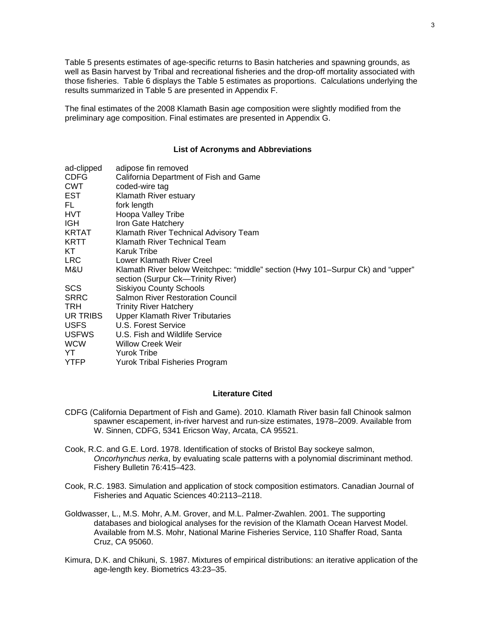Table 5 presents estimates of age-specific returns to Basin hatcheries and spawning grounds, as well as Basin harvest by Tribal and recreational fisheries and the drop-off mortality associated with those fisheries. Table 6 displays the Table 5 estimates as proportions. Calculations underlying the results summarized in Table 5 are presented in Appendix F.

The final estimates of the 2008 Klamath Basin age composition were slightly modified from the preliminary age composition. Final estimates are presented in Appendix G.

#### **List of Acronyms and Abbreviations**

| ad-clipped   | adipose fin removed                                                             |
|--------------|---------------------------------------------------------------------------------|
| CDFG         | California Department of Fish and Game                                          |
| <b>CWT</b>   | coded-wire tag                                                                  |
| EST          | Klamath River estuary                                                           |
| FL.          | fork length                                                                     |
| HVT          | Hoopa Valley Tribe                                                              |
| IGH.         | Iron Gate Hatchery                                                              |
| KRTAT        | Klamath River Technical Advisory Team                                           |
| KRTT         | Klamath River Technical Team                                                    |
| KT           | Karuk Tribe                                                                     |
| LRC.         | Lower Klamath River Creel                                                       |
| M&U          | Klamath River below Weitchpec: "middle" section (Hwy 101–Surpur Ck) and "upper" |
|              | section (Surpur Ck-Trinity River)                                               |
| <b>SCS</b>   | <b>Siskiyou County Schools</b>                                                  |
| <b>SRRC</b>  | <b>Salmon River Restoration Council</b>                                         |
| TRH          | <b>Trinity River Hatchery</b>                                                   |
| UR TRIBS     | <b>Upper Klamath River Tributaries</b>                                          |
| <b>USFS</b>  | U.S. Forest Service                                                             |
| <b>USFWS</b> | U.S. Fish and Wildlife Service                                                  |
| <b>WCW</b>   | <b>Willow Creek Weir</b>                                                        |
| YT           | <b>Yurok Tribe</b>                                                              |
| YTFP         | Yurok Tribal Fisheries Program                                                  |

#### **Literature Cited**

- CDFG (California Department of Fish and Game). 2010. Klamath River basin fall Chinook salmon spawner escapement, in-river harvest and run-size estimates, 1978–2009. Available from W. Sinnen, CDFG, 5341 Ericson Way, Arcata, CA 95521.
- Cook, R.C. and G.E. Lord. 1978. Identification of stocks of Bristol Bay sockeye salmon, *Oncorhynchus nerka*, by evaluating scale patterns with a polynomial discriminant method. Fishery Bulletin 76:415–423.
- Cook, R.C. 1983. Simulation and application of stock composition estimators. Canadian Journal of Fisheries and Aquatic Sciences 40:2113–2118.
- Goldwasser, L., M.S. Mohr, A.M. Grover, and M.L. Palmer-Zwahlen. 2001. The supporting databases and biological analyses for the revision of the Klamath Ocean Harvest Model. Available from M.S. Mohr, National Marine Fisheries Service, 110 Shaffer Road, Santa Cruz, CA 95060.
- Kimura, D.K. and Chikuni, S. 1987. Mixtures of empirical distributions: an iterative application of the age-length key. Biometrics 43:23–35.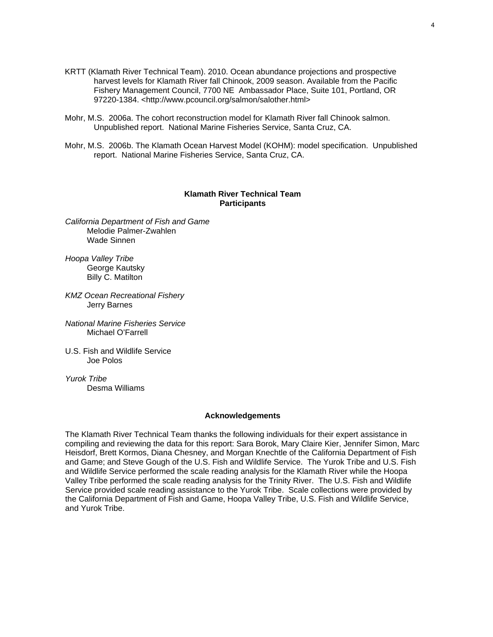- KRTT (Klamath River Technical Team). 2010. Ocean abundance projections and prospective harvest levels for Klamath River fall Chinook, 2009 season. Available from the Pacific Fishery Management Council, 7700 NE Ambassador Place, Suite 101, Portland, OR 97220-1384. <http://www.pcouncil.org/salmon/salother.html>
- Mohr, M.S. 2006a. The cohort reconstruction model for Klamath River fall Chinook salmon. Unpublished report. National Marine Fisheries Service, Santa Cruz, CA.
- Mohr, M.S. 2006b. The Klamath Ocean Harvest Model (KOHM): model specification. Unpublished report. National Marine Fisheries Service, Santa Cruz, CA.

#### **Klamath River Technical Team Participants**

*California Department of Fish and Game*  Melodie Palmer-Zwahlen Wade Sinnen

*Hoopa Valley Tribe*  George Kautsky Billy C. Matilton

*KMZ Ocean Recreational Fishery*  Jerry Barnes

*National Marine Fisheries Service*  Michael O'Farrell

U.S. Fish and Wildlife Service Joe Polos

*Yurok Tribe*  Desma Williams

#### **Acknowledgements**

The Klamath River Technical Team thanks the following individuals for their expert assistance in compiling and reviewing the data for this report: Sara Borok, Mary Claire Kier, Jennifer Simon, Marc Heisdorf, Brett Kormos, Diana Chesney, and Morgan Knechtle of the California Department of Fish and Game; and Steve Gough of the U.S. Fish and Wildlife Service. The Yurok Tribe and U.S. Fish and Wildlife Service performed the scale reading analysis for the Klamath River while the Hoopa Valley Tribe performed the scale reading analysis for the Trinity River. The U.S. Fish and Wildlife Service provided scale reading assistance to the Yurok Tribe. Scale collections were provided by the California Department of Fish and Game, Hoopa Valley Tribe, U.S. Fish and Wildlife Service, and Yurok Tribe.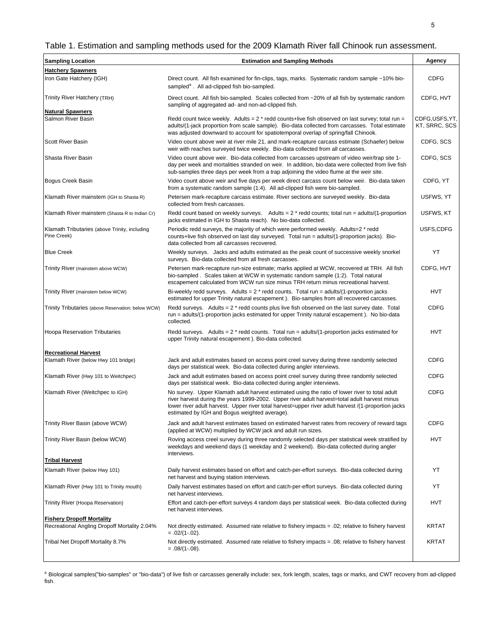# Table 1. Estimation and sampling methods used for the 2009 Klamath River fall Chinook run assessment.

| <b>Sampling Location</b>                                     | <b>Estimation and Sampling Methods</b>                                                                                                                                                                                                                                                                                                                  | Agency                         |
|--------------------------------------------------------------|---------------------------------------------------------------------------------------------------------------------------------------------------------------------------------------------------------------------------------------------------------------------------------------------------------------------------------------------------------|--------------------------------|
| <b>Hatchery Spawners</b>                                     |                                                                                                                                                                                                                                                                                                                                                         |                                |
| Iron Gate Hatchery (IGH)                                     | Direct count. All fish examined for fin-clips, tags, marks. Systematic random sample ~10% bio-<br>sampled <sup>a</sup> . All ad-clipped fish bio-sampled.                                                                                                                                                                                               | <b>CDFG</b>                    |
| Trinity River Hatchery (TRH)                                 | Direct count. All fish bio-sampled. Scales collected from ~20% of all fish by systematic random<br>sampling of aggregated ad- and non-ad-clipped fish.                                                                                                                                                                                                  | CDFG, HVT                      |
| <b>Natural Spawners</b>                                      |                                                                                                                                                                                                                                                                                                                                                         |                                |
| Salmon River Basin                                           | Redd count twice weekly. Adults = $2 *$ redd counts+live fish observed on last survey; total run =<br>adults/(1-jack proportion from scale sample). Bio-data collected from carcasses. Total estimate<br>was adjusted downward to account for spatiotemporal overlap of spring/fall Chinook.                                                            | CDFG,USFS,YT,<br>KT, SRRC, SCS |
| <b>Scott River Basin</b>                                     | Video count above weir at river mile 21, and mark-recapture carcass estimate (Schaefer) below<br>weir with reaches surveyed twice weekly. Bio-data collected from all carcasses.                                                                                                                                                                        | CDFG, SCS                      |
| Shasta River Basin                                           | Video count above weir. Bio-data collected from carcasses upstream of video weir/trap site 1-<br>day per week and mortalities stranded on weir. In addition, bio-data were collected from live fish<br>sub-samples three days per week from a trap adjoining the video flume at the weir site.                                                          | CDFG, SCS                      |
| Bogus Creek Basin                                            | Video count above weir and five days per week direct carcass count below weir. Bio-data taken<br>from a systematic random sample (1:4). All ad-clipped fish were bio-sampled.                                                                                                                                                                           | CDFG, YT                       |
| Klamath River mainstem (IGH to Shasta R)                     | Petersen mark-recapture carcass estimate. River sections are surveyed weekly. Bio-data<br>collected from fresh carcasses.                                                                                                                                                                                                                               | USFWS, YT                      |
| Klamath River mainstem (Shasta R to Indian Cr)               | Redd count based on weekly surveys. Adults = $2 *$ redd counts; total run = adults/(1-proportion<br>jacks estimated in IGH to Shasta reach). No bio-data collected.                                                                                                                                                                                     | USFWS, KT                      |
| Klamath Tributaries (above Trinity, including<br>Pine Creek) | Periodic redd surveys, the majority of which were performed weekly. Adults=2 * redd<br>counts+live fish observed on last day surveyed. Total run = adults/(1-proportion jacks). Bio-<br>data collected from all carcasses recovered.                                                                                                                    | USFS,CDFG                      |
| <b>Blue Creek</b>                                            | Weekly surveys. Jacks and adults estimated as the peak count of successive weekly snorkel<br>surveys. Bio-data collected from all fresh carcasses.                                                                                                                                                                                                      | YT                             |
| Trinity River (mainstem above WCW)                           | Petersen mark-recapture run-size estimate; marks applied at WCW, recovered at TRH. All fish<br>bio-sampled . Scales taken at WCW in systematic random sample (1:2). Total natural<br>escapement calculated from WCW run size minus TRH return minus recreational harvest.                                                                               | CDFG, HVT                      |
| Trinity River (mainstem below WCW)                           | Bi-weekly redd surveys. Adults = $2 *$ redd counts. Total run = adults/(1-proportion jacks<br>estimated for upper Trinity natural escapement). Bio-samples from all recovered carcasses.                                                                                                                                                                | <b>HVT</b>                     |
| Trinity Tributaries (above Reservation; below WCW)           | Redd surveys. Adults $= 2$ * redd counts plus live fish observed on the last survey date. Total<br>run = adults/(1-proportion jacks estimated for upper Trinity natural escapement). No bio-data<br>collected.                                                                                                                                          | <b>CDFG</b>                    |
| <b>Hoopa Reservation Tributaries</b>                         | Redd surveys. Adults = $2 *$ redd counts. Total run = adults/(1-proportion jacks estimated for<br>upper Trinity natural escapement). Bio-data collected.                                                                                                                                                                                                | <b>HVT</b>                     |
| <b>Recreational Harvest</b>                                  |                                                                                                                                                                                                                                                                                                                                                         |                                |
| Klamath River (below Hwy 101 bridge)                         | Jack and adult estimates based on access point creel survey during three randomly selected<br>days per statistical week. Bio-data collected during angler interviews.                                                                                                                                                                                   | <b>CDFG</b>                    |
| Klamath River (Hwy 101 to Weitchpec)                         | Jack and adult estimates based on access point creel survey during three randomly selected<br>days per statistical week. Bio-data collected during angler interviews.                                                                                                                                                                                   | <b>CDFG</b>                    |
| Klamath River (Weitchpec to IGH)                             | No survey. Upper Klamath adult harvest estimated using the ratio of lower river to total adult<br>river harvest during the years 1999-2002. Upper river adult harvest=total adult harvest minus<br>lower river adult harvest. Upper river total harvest=upper river adult harvest /(1-proportion jacks<br>estimated by IGH and Bogus weighted average). | <b>CDFG</b>                    |
| Trinity River Basin (above WCW)                              | Jack and adult harvest estimates based on estimated harvest rates from recovery of reward tags<br>(applied at WCW) multiplied by WCW jack and adult run sizes.                                                                                                                                                                                          | <b>CDFG</b>                    |
| Trinity River Basin (below WCW)                              | Roving access creel survey during three randomly selected days per statistical week stratified by<br>weekdays and weekend days (1 weekday and 2 weekend). Bio-data collected during angler<br>interviews.                                                                                                                                               | <b>HVT</b>                     |
| <b>Tribal Harvest</b>                                        |                                                                                                                                                                                                                                                                                                                                                         |                                |
| Klamath River (below Hwy 101)                                | Daily harvest estimates based on effort and catch-per-effort surveys. Bio-data collected during<br>net harvest and buying station interviews.                                                                                                                                                                                                           | YT                             |
| Klamath River (Hwy 101 to Trinity mouth)                     | Daily harvest estimates based on effort and catch-per-effort surveys. Bio-data collected during<br>net harvest interviews.                                                                                                                                                                                                                              | YT                             |
| Trinity River (Hoopa Reservation)                            | Effort and catch-per-effort surveys 4 random days per statistical week. Bio-data collected during<br>net harvest interviews.                                                                                                                                                                                                                            | <b>HVT</b>                     |
| <b>Fishery Dropoff Mortality</b>                             |                                                                                                                                                                                                                                                                                                                                                         |                                |
| Recreational Angling Dropoff Mortality 2.04%                 | Not directly estimated. Assumed rate relative to fishery impacts = .02; relative to fishery harvest<br>$= .02/(1-.02)$ .                                                                                                                                                                                                                                | KRTAT                          |
| Tribal Net Dropoff Mortality 8.7%                            | Not directly estimated. Assumed rate relative to fishery impacts = .08; relative to fishery harvest<br>$=.08/(1-.08)$ .                                                                                                                                                                                                                                 | <b>KRTAT</b>                   |

a Biological samples("bio-samples" or "bio-data") of live fish or carcasses generally include: sex, fork length, scales, tags or marks, and CWT recovery from ad-clipped fish.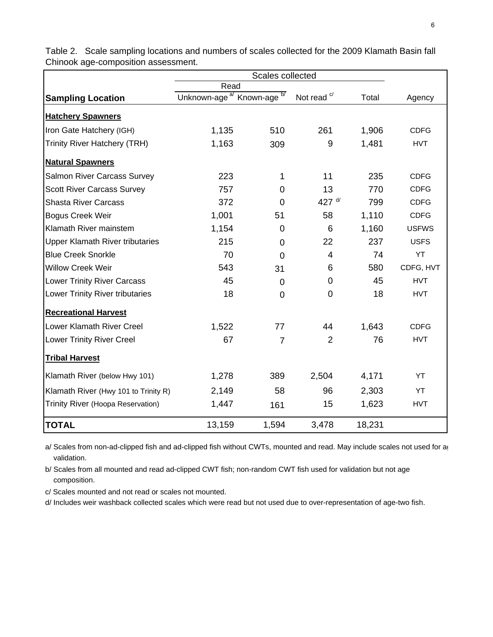|                                        | Read                                              |                |                   |        |              |
|----------------------------------------|---------------------------------------------------|----------------|-------------------|--------|--------------|
| <b>Sampling Location</b>               | Unknown-age <sup>a/</sup> Known-age <sup>b/</sup> |                | Not read $\alpha$ | Total  | Agency       |
| <b>Hatchery Spawners</b>               |                                                   |                |                   |        |              |
| Iron Gate Hatchery (IGH)               | 1,135                                             | 510            | 261               | 1,906  | <b>CDFG</b>  |
| <b>Trinity River Hatchery (TRH)</b>    | 1,163                                             | 309            | 9                 | 1,481  | <b>HVT</b>   |
| <b>Natural Spawners</b>                |                                                   |                |                   |        |              |
| Salmon River Carcass Survey            | 223                                               | 1              | 11                | 235    | <b>CDFG</b>  |
| <b>Scott River Carcass Survey</b>      | 757                                               | $\overline{0}$ | 13                | 770    | <b>CDFG</b>  |
| <b>Shasta River Carcass</b>            | 372                                               | 0              | 427 $d/$          | 799    | <b>CDFG</b>  |
| <b>Bogus Creek Weir</b>                | 1,001                                             | 51             | 58                | 1,110  | <b>CDFG</b>  |
| Klamath River mainstem                 | 1,154                                             | 0              | 6                 | 1,160  | <b>USFWS</b> |
| <b>Upper Klamath River tributaries</b> | 215                                               | $\overline{0}$ | 22                | 237    | <b>USFS</b>  |
| <b>Blue Creek Snorkle</b>              | 70                                                | 0              | 4                 | 74     | YT           |
| <b>Willow Creek Weir</b>               | 543                                               | 31             | 6                 | 580    | CDFG, HVT    |
| <b>Lower Trinity River Carcass</b>     | 45                                                | $\mathbf 0$    | 0                 | 45     | <b>HVT</b>   |
| <b>Lower Trinity River tributaries</b> | 18                                                | 0              | $\Omega$          | 18     | <b>HVT</b>   |
| <b>Recreational Harvest</b>            |                                                   |                |                   |        |              |
| Lower Klamath River Creel              | 1,522                                             | 77             | 44                | 1,643  | <b>CDFG</b>  |
| <b>Lower Trinity River Creel</b>       | 67                                                | $\overline{7}$ | $\overline{2}$    | 76     | <b>HVT</b>   |
| <b>Tribal Harvest</b>                  |                                                   |                |                   |        |              |
| Klamath River (below Hwy 101)          | 1,278                                             | 389            | 2,504             | 4,171  | YT           |
| Klamath River (Hwy 101 to Trinity R)   | 2,149                                             | 58             | 96                | 2,303  | YT           |
| Trinity River (Hoopa Reservation)      | 1,447                                             | 161            | 15                | 1,623  | <b>HVT</b>   |
| <b>TOTAL</b>                           | 13,159                                            | 1,594          | 3,478             | 18,231 |              |

Table 2. Scale sampling locations and numbers of scales collected for the 2009 Klamath Basin fall Chinook age-composition assessment.

a/ Scales from non-ad-clipped fish and ad-clipped fish without CWTs, mounted and read. May include scales not used for a validation.

b/ Scales from all mounted and read ad-clipped CWT fish; non-random CWT fish used for validation but not age composition.

c/ Scales mounted and not read or scales not mounted.

d/ Includes weir washback collected scales which were read but not used due to over-representation of age-two fish.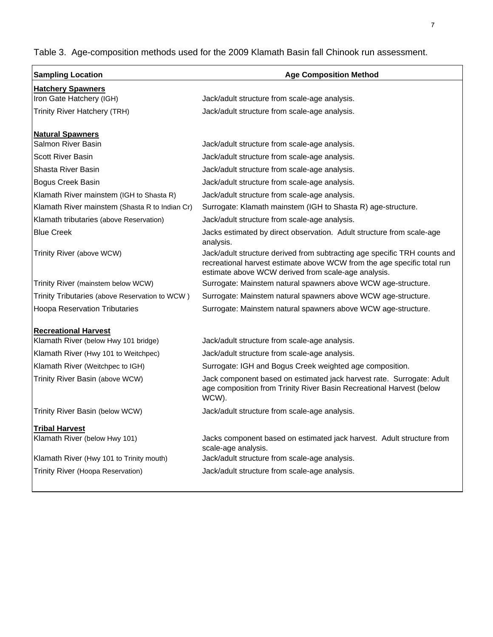Table 3. Age-composition methods used for the 2009 Klamath Basin fall Chinook run assessment.

| <b>Sampling Location</b>                       | <b>Age Composition Method</b>                                                                                                                                                                               |
|------------------------------------------------|-------------------------------------------------------------------------------------------------------------------------------------------------------------------------------------------------------------|
| <b>Hatchery Spawners</b>                       |                                                                                                                                                                                                             |
| Iron Gate Hatchery (IGH)                       | Jack/adult structure from scale-age analysis.                                                                                                                                                               |
| Trinity River Hatchery (TRH)                   | Jack/adult structure from scale-age analysis.                                                                                                                                                               |
|                                                |                                                                                                                                                                                                             |
| <b>Natural Spawners</b><br>Salmon River Basin  |                                                                                                                                                                                                             |
|                                                | Jack/adult structure from scale-age analysis.                                                                                                                                                               |
| <b>Scott River Basin</b>                       | Jack/adult structure from scale-age analysis.                                                                                                                                                               |
| Shasta River Basin                             | Jack/adult structure from scale-age analysis.                                                                                                                                                               |
| Bogus Creek Basin                              | Jack/adult structure from scale-age analysis.                                                                                                                                                               |
| Klamath River mainstem (IGH to Shasta R)       | Jack/adult structure from scale-age analysis.                                                                                                                                                               |
| Klamath River mainstem (Shasta R to Indian Cr) | Surrogate: Klamath mainstem (IGH to Shasta R) age-structure.                                                                                                                                                |
| Klamath tributaries (above Reservation)        | Jack/adult structure from scale-age analysis.                                                                                                                                                               |
| <b>Blue Creek</b>                              | Jacks estimated by direct observation. Adult structure from scale-age<br>analysis.                                                                                                                          |
| Trinity River (above WCW)                      | Jack/adult structure derived from subtracting age specific TRH counts and<br>recreational harvest estimate above WCW from the age specific total run<br>estimate above WCW derived from scale-age analysis. |
| Trinity River (mainstem below WCW)             | Surrogate: Mainstem natural spawners above WCW age-structure.                                                                                                                                               |
| Trinity Tributaries (above Reservation to WCW) | Surrogate: Mainstem natural spawners above WCW age-structure.                                                                                                                                               |
| <b>Hoopa Reservation Tributaries</b>           | Surrogate: Mainstem natural spawners above WCW age-structure.                                                                                                                                               |
|                                                |                                                                                                                                                                                                             |
| <b>Recreational Harvest</b>                    |                                                                                                                                                                                                             |
| Klamath River (below Hwy 101 bridge)           | Jack/adult structure from scale-age analysis.                                                                                                                                                               |
| Klamath River (Hwy 101 to Weitchpec)           | Jack/adult structure from scale-age analysis.                                                                                                                                                               |
| Klamath River (Weitchpec to IGH)               | Surrogate: IGH and Bogus Creek weighted age composition.                                                                                                                                                    |
| Trinity River Basin (above WCW)                | Jack component based on estimated jack harvest rate. Surrogate: Adult<br>age composition from Trinity River Basin Recreational Harvest (below<br>WCW).                                                      |
| Trinity River Basin (below WCW)                | Jack/adult structure from scale-age analysis.                                                                                                                                                               |
| <b>Tribal Harvest</b>                          |                                                                                                                                                                                                             |
| Klamath River (below Hwy 101)                  | Jacks component based on estimated jack harvest. Adult structure from<br>scale-age analysis.                                                                                                                |
| Klamath River (Hwy 101 to Trinity mouth)       | Jack/adult structure from scale-age analysis.                                                                                                                                                               |
| Trinity River (Hoopa Reservation)              | Jack/adult structure from scale-age analysis.                                                                                                                                                               |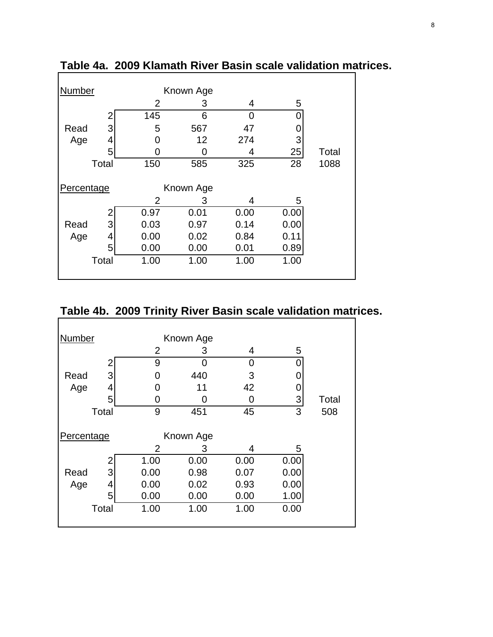| Number     |       |                | Known Age |      |      |       |
|------------|-------|----------------|-----------|------|------|-------|
|            |       | $\overline{2}$ | 3         | 4    | 5    |       |
|            |       | 145            | 6         | U    |      |       |
| Read       | 3     | 5              | 567       | 47   |      |       |
| Age        | 4     | 0              | 12        | 274  | 3    |       |
|            | 5     | O              | 0         | 4    | 25   | Total |
|            | Total | 150            | 585       | 325  | 28   | 1088  |
|            |       |                |           |      |      |       |
| Percentage |       |                | Known Age |      |      |       |
|            |       | 2              | 3         | 4    | 5    |       |
|            |       | 0.97           | 0.01      | 0.00 | 0.00 |       |
| Read       | 3     | 0.03           | 0.97      | 0.14 | 0.00 |       |
| Age        | 4     | 0.00           | 0.02      | 0.84 | 0.11 |       |
|            | 5     | 0.00           | 0.00      | 0.01 | 0.89 |       |
|            | Total | 1.00           | 1.00      | 1.00 | 1.00 |       |
|            |       |                |           |      |      |       |

**Table 4a. 2009 Klamath River Basin scale validation matrices.**

# **Table 4b. 2009 Trinity River Basin scale validation matrices.**

| Number                  |       |                | Known Age |      |      |       |
|-------------------------|-------|----------------|-----------|------|------|-------|
|                         |       | $\overline{2}$ | 3         | 4    | 5    |       |
|                         | 2     | 9              | 0         | 0    | 0    |       |
| Read                    | 3     | O              | 440       | 3    |      |       |
| Age                     | 4     | O              | 11        | 42   |      |       |
|                         | 5     | O              | O         | 0    | 3    | Total |
|                         | Total | 9              | 451       | 45   | 3    | 508   |
| Known Age<br>Percentage |       |                |           |      |      |       |
|                         |       | 2              | 3         | 4    | 5    |       |
|                         | 2     | 1.00           | 0.00      | 0.00 | 0.00 |       |
| Read                    | 3     | 0.00           | 0.98      | 0.07 | 0.00 |       |
| Age                     | 4     | 0.00           | 0.02      | 0.93 | 0.00 |       |
|                         | 5     | 0.00           | 0.00      | 0.00 | 1.00 |       |
|                         | Total | 1.00           | 1.00      | 1.00 | 0.00 |       |
|                         |       |                |           |      |      |       |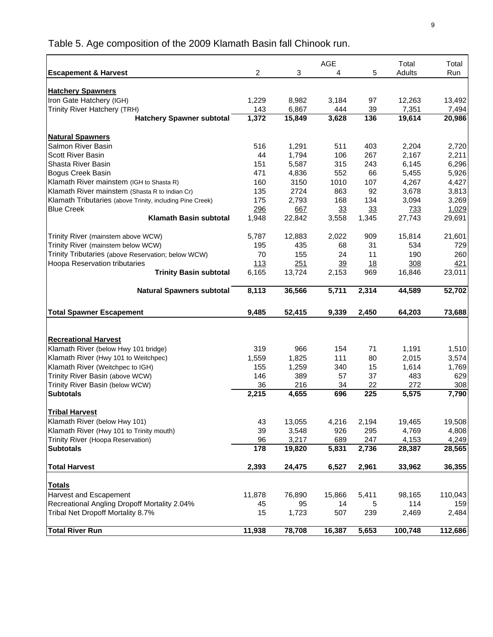Table 5. Age composition of the 2009 Klamath Basin fall Chinook run.

|                                                           |                |                 | <b>AGE</b>   |           | Total           | Total           |
|-----------------------------------------------------------|----------------|-----------------|--------------|-----------|-----------------|-----------------|
| <b>Escapement &amp; Harvest</b>                           | $\overline{2}$ | 3               | 4            | 5         | Adults          | Run             |
|                                                           |                |                 |              |           |                 |                 |
| <b>Hatchery Spawners</b>                                  |                |                 |              |           |                 |                 |
| Iron Gate Hatchery (IGH)<br>Trinity River Hatchery (TRH)  | 1,229          | 8,982           | 3,184        | 97        | 12,263          | 13,492          |
| <b>Hatchery Spawner subtotal</b>                          | 143<br>1,372   | 6,867<br>15,849 | 444<br>3,628 | 39<br>136 | 7,351<br>19,614 | 7,494<br>20,986 |
|                                                           |                |                 |              |           |                 |                 |
| <b>Natural Spawners</b>                                   |                |                 |              |           |                 |                 |
| Salmon River Basin                                        | 516            | 1,291           | 511          | 403       | 2,204           | 2,720           |
| <b>Scott River Basin</b>                                  | 44             | 1,794           | 106          | 267       | 2,167           | 2,211           |
| Shasta River Basin                                        | 151            | 5,587           | 315          | 243       | 6,145           | 6,296           |
| <b>Bogus Creek Basin</b>                                  | 471            | 4,836           | 552          | 66        | 5,455           | 5,926           |
| Klamath River mainstem (IGH to Shasta R)                  | 160            | 3150            | 1010         | 107       | 4,267           | 4,427           |
| Klamath River mainstem (Shasta R to Indian Cr)            | 135            | 2724            | 863          | 92        | 3,678           | 3,813           |
| Klamath Tributaries (above Trinity, including Pine Creek) | 175            | 2,793           | 168          | 134       | 3,094           | 3,269           |
| <b>Blue Creek</b>                                         | 296            | 667             | 33           | 33        | <u>733</u>      | 1,029           |
| <b>Klamath Basin subtotal</b>                             | 1,948          | 22,842          | 3,558        | 1,345     | 27,743          | 29,691          |
|                                                           |                |                 |              |           |                 |                 |
| Trinity River (mainstem above WCW)                        | 5.787          | 12.883          | 2,022        | 909       | 15,814          | 21,601          |
| Trinity River (mainstem below WCW)                        | 195            | 435             | 68           | 31        | 534             | 729             |
| Trinity Tributaries (above Reservation; below WCW)        | 70             | 155             | 24           | 11        | 190             | 260             |
| Hoopa Reservation tributaries                             | 113            | 251             | 39           | 18        | 308             | <u>421</u>      |
| <b>Trinity Basin subtotal</b>                             | 6,165          | 13,724          | 2,153        | 969       | 16,846          | 23,011          |
| <b>Natural Spawners subtotal</b>                          | 8,113          | 36,566          | 5,711        | 2,314     | 44,589          | 52,702          |
| <b>Total Spawner Escapement</b>                           | 9,485          | 52,415          | 9,339        | 2,450     | 64,203          | 73,688          |
|                                                           |                |                 |              |           |                 |                 |
|                                                           |                |                 |              |           |                 |                 |
| <b>Recreational Harvest</b>                               |                |                 |              |           |                 |                 |
| Klamath River (below Hwy 101 bridge)                      | 319            | 966             | 154          | 71        | 1,191           | 1,510           |
| Klamath River (Hwy 101 to Weitchpec)                      | 1,559          | 1,825           | 111          | 80        | 2,015           | 3,574           |
| Klamath River (Weitchpec to IGH)                          | 155            | 1,259           | 340          | 15        | 1,614           | 1,769           |
| Trinity River Basin (above WCW)                           | 146            | 389             | 57           | 37        | 483             | 629             |
| Trinity River Basin (below WCW)<br><b>Subtotals</b>       | 36<br>2,215    | 216<br>4,655    | 34<br>696    | 22<br>225 | 272<br>5,575    | 308<br>7,790    |
|                                                           |                |                 |              |           |                 |                 |
| <b>Tribal Harvest</b>                                     |                |                 |              |           |                 |                 |
| Klamath River (below Hwy 101)                             | 43             | 13,055          | 4,216        | 2,194     | 19,465          | 19,508          |
| Klamath River (Hwy 101 to Trinity mouth)                  | 39             | 3,548           | 926          | 295       | 4,769           | 4,808           |
| Trinity River (Hoopa Reservation)                         | 96             | 3,217           | 689          | 247       | 4,153           | 4,249           |
| <b>Subtotals</b>                                          | 178            | 19,820          | 5,831        | 2,736     | 28,387          | 28,565          |
| <b>Total Harvest</b>                                      | 2,393          | 24,475          | 6,527        | 2,961     | 33,962          | 36,355          |
|                                                           |                |                 |              |           |                 |                 |
| <b>Totals</b>                                             |                |                 |              |           |                 |                 |
| Harvest and Escapement                                    | 11,878         | 76,890          | 15,866       | 5,411     | 98,165          | 110,043         |
| Recreational Angling Dropoff Mortality 2.04%              | 45             | 95              | 14           | 5         | 114             | 159             |
| Tribal Net Dropoff Mortality 8.7%                         | 15             | 1,723           | 507          | 239       | 2,469           | 2,484           |
| <b>Total River Run</b>                                    | 11,938         | 78,708          | 16,387       | 5,653     | 100,748         | 112,686         |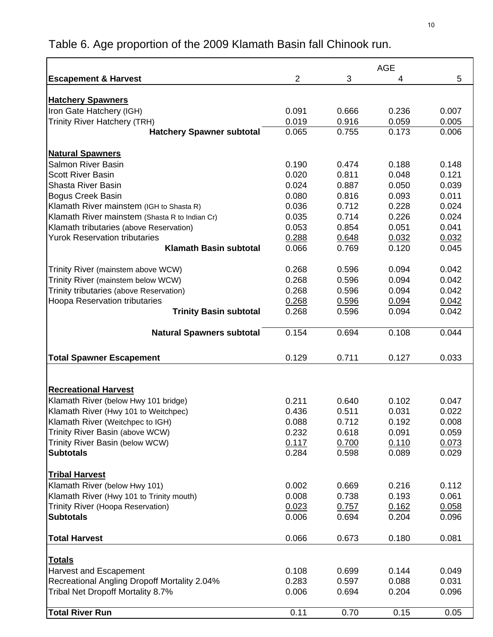|                                                     |                |       | <b>AGE</b> |       |
|-----------------------------------------------------|----------------|-------|------------|-------|
| <b>Escapement &amp; Harvest</b>                     | $\overline{2}$ | 3     | 4          | 5     |
|                                                     |                |       |            |       |
| <b>Hatchery Spawners</b>                            |                |       |            |       |
| Iron Gate Hatchery (IGH)                            | 0.091          | 0.666 | 0.236      | 0.007 |
| <b>Trinity River Hatchery (TRH)</b>                 | 0.019          | 0.916 | 0.059      | 0.005 |
| <b>Hatchery Spawner subtotal</b>                    | 0.065          | 0.755 | 0.173      | 0.006 |
|                                                     |                |       |            |       |
| <b>Natural Spawners</b>                             |                |       |            |       |
| <b>Salmon River Basin</b>                           | 0.190          | 0.474 | 0.188      | 0.148 |
| <b>Scott River Basin</b>                            | 0.020          | 0.811 | 0.048      | 0.121 |
| Shasta River Basin                                  | 0.024          | 0.887 | 0.050      | 0.039 |
| <b>Bogus Creek Basin</b>                            | 0.080          | 0.816 | 0.093      | 0.011 |
| Klamath River mainstem (IGH to Shasta R)            | 0.036          | 0.712 | 0.228      | 0.024 |
| Klamath River mainstem (Shasta R to Indian Cr)      | 0.035          | 0.714 | 0.226      | 0.024 |
| Klamath tributaries (above Reservation)             | 0.053          | 0.854 | 0.051      | 0.041 |
| <b>Yurok Reservation tributaries</b>                | 0.288          | 0.648 | 0.032      | 0.032 |
| <b>Klamath Basin subtotal</b>                       | 0.066          | 0.769 | 0.120      | 0.045 |
|                                                     |                |       |            |       |
| Trinity River (mainstem above WCW)                  | 0.268          | 0.596 | 0.094      | 0.042 |
| Trinity River (mainstem below WCW)                  | 0.268          | 0.596 | 0.094      | 0.042 |
| Trinity tributaries (above Reservation)             | 0.268          | 0.596 | 0.094      | 0.042 |
| Hoopa Reservation tributaries                       | 0.268          | 0.596 | 0.094      | 0.042 |
| <b>Trinity Basin subtotal</b>                       | 0.268          | 0.596 | 0.094      | 0.042 |
| <b>Natural Spawners subtotal</b>                    | 0.154          | 0.694 | 0.108      | 0.044 |
|                                                     |                |       |            |       |
| <b>Total Spawner Escapement</b>                     | 0.129          | 0.711 | 0.127      | 0.033 |
|                                                     |                |       |            |       |
|                                                     |                |       |            |       |
| <b>Recreational Harvest</b>                         |                |       |            |       |
| Klamath River (below Hwy 101 bridge)                | 0.211          | 0.640 | 0.102      | 0.047 |
| Klamath River (Hwy 101 to Weitchpec)                | 0.436          | 0.511 | 0.031      | 0.022 |
| Klamath River (Weitchpec to IGH)                    | 0.088          | 0.712 | 0.192      | 0.008 |
| Trinity River Basin (above WCW)                     | 0.232          | 0.618 | 0.091      | 0.059 |
| Trinity River Basin (below WCW)                     | 0.117          | 0.700 | 0.110      | 0.073 |
| <b>Subtotals</b>                                    | 0.284          | 0.598 | 0.089      | 0.029 |
|                                                     |                |       |            |       |
| <b>Tribal Harvest</b>                               |                |       |            |       |
| Klamath River (below Hwy 101)                       | 0.002          | 0.669 | 0.216      | 0.112 |
| Klamath River (Hwy 101 to Trinity mouth)            | 0.008          | 0.738 | 0.193      | 0.061 |
| Trinity River (Hoopa Reservation)                   | 0.023          | 0.757 | 0.162      | 0.058 |
| <b>Subtotals</b>                                    | 0.006          | 0.694 | 0.204      | 0.096 |
|                                                     |                |       |            |       |
| <b>Total Harvest</b>                                | 0.066          | 0.673 | 0.180      | 0.081 |
|                                                     |                |       |            |       |
| <u>Totals</u>                                       |                |       |            |       |
| <b>Harvest and Escapement</b>                       | 0.108          | 0.699 | 0.144      | 0.049 |
| <b>Recreational Angling Dropoff Mortality 2.04%</b> | 0.283          | 0.597 | 0.088      | 0.031 |
| Tribal Net Dropoff Mortality 8.7%                   | 0.006          | 0.694 | 0.204      | 0.096 |
|                                                     |                |       |            |       |
| <b>Total River Run</b>                              | 0.11           | 0.70  | 0.15       | 0.05  |

# Table 6. Age proportion of the 2009 Klamath Basin fall Chinook run.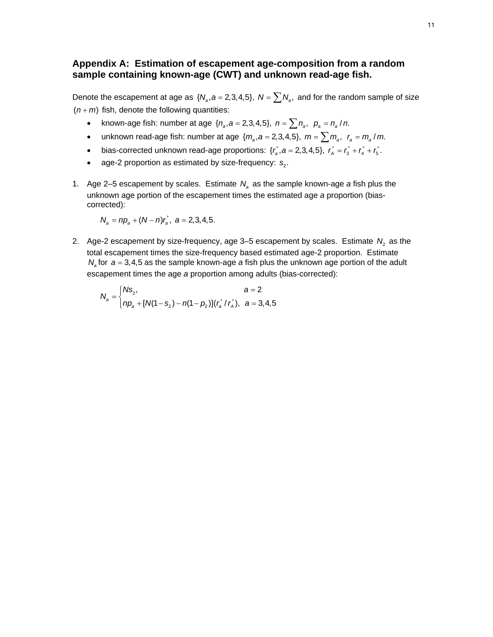## **Appendix A: Estimation of escapement age-composition from a random sample containing known-age (CWT) and unknown read-age fish.**

Denote the escapement at age as  $\{N_a, a = 2,3,4,5\}, N = \sum N_a$ , and for the random sample of size  $(n + m)$  fish, denote the following quantities:

- known-age fish: number at age  $\{n_a, a = 2, 3, 4, 5\}$ ,  $n = \sum n_a$ ,  $p_a = n_a / n$ .
- unknown read-age fish: number at age  $\{m_a, a = 2, 3, 4, 5\}$ ,  $m = \sum m_a$ ,  $r_a = m_a / m$ .
- bias-corrected unknown read-age proportions:  $\{r_a^*, a = 2, 3, 4, 5\}$ ,  $r_a^* = r_a^* + r_a^* + r_5^*$ .
- age-2 proportion as estimated by size-frequency: s<sub>2</sub>.
- 1. Age 2–5 escapement by scales. Estimate  $N_a$  as the sample known-age *a* fish plus the unknown age portion of the escapement times the estimated age *a* proportion (biascorrected):

$$
N_a = np_a + (N - n)r_a^*, \ \ a = 2,3,4,5.
$$

2. Age-2 escapement by size-frequency, age  $3-5$  escapement by scales. Estimate  $N<sub>2</sub>$  as the total escapement times the size-frequency based estimated age-2 proportion. Estimate  $N_a$  for  $a = 3, 4, 5$  as the sample known-age *a* fish plus the unknown age portion of the adult escapement times the age *a* proportion among adults (bias-corrected):

$$
N_a = \begin{cases} N s_2, & a = 2 \\ np_a + [N(1 - s_2) - n(1 - p_2)](r_a \cdot r_a), & a = 3, 4, 5 \end{cases}
$$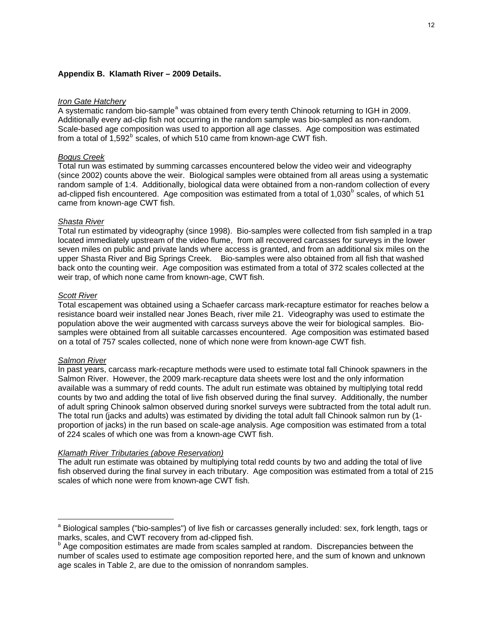#### **Appendix B. Klamath River – 2009 Details.**

#### *Iron Gate Hatchery*

A system[a](#page-11-0)tic random bio-sample<sup>a</sup> was obtained from every tenth Chinook returning to IGH in 2009. Additionally every ad-clip fish not occurring in the random sample was bio-sampled as non-random. Scale-based age composition was used to apportion all age classes. Age composition was estimated from a total of  $1,592^b$  $1,592^b$  scales, of which 510 came from known-age CWT fish.

#### *Bogus Creek*

Total run was estimated by summing carcasses encountered below the video weir and videography (since 2002) counts above the weir. Biological samples were obtained from all areas using a systematic random sample of 1:4. Additionally, biological data were obtained from a non-random collection of every ad-clipped fish encountered. Age composition was estimated from a total of 1,030<sup>[b](#page-11-2)</sup> scales, of which 51 came from known-age CWT fish.

#### *Shasta River*

Total run estimated by videography (since 1998). Bio-samples were collected from fish sampled in a trap located immediately upstream of the video flume, from all recovered carcasses for surveys in the lower seven miles on public and private lands where access is granted, and from an additional six miles on the upper Shasta River and Big Springs Creek. Bio-samples were also obtained from all fish that washed back onto the counting weir. Age composition was estimated from a total of 372 scales collected at the weir trap, of which none came from known-age, CWT fish.

#### *Scott River*

Total escapement was obtained using a Schaefer carcass mark-recapture estimator for reaches below a resistance board weir installed near Jones Beach, river mile 21. Videography was used to estimate the population above the weir augmented with carcass surveys above the weir for biological samples. Biosamples were obtained from all suitable carcasses encountered. Age composition was estimated based on a total of 757 scales collected, none of which none were from known-age CWT fish.

#### *Salmon River*

 $\overline{a}$ 

In past years, carcass mark-recapture methods were used to estimate total fall Chinook spawners in the Salmon River. However, the 2009 mark-recapture data sheets were lost and the only information available was a summary of redd counts. The adult run estimate was obtained by multiplying total redd counts by two and adding the total of live fish observed during the final survey. Additionally, the number of adult spring Chinook salmon observed during snorkel surveys were subtracted from the total adult run. The total run (jacks and adults) was estimated by dividing the total adult fall Chinook salmon run by (1 proportion of jacks) in the run based on scale-age analysis. Age composition was estimated from a total of 224 scales of which one was from a known-age CWT fish.

#### *Klamath River Tributaries (above Reservation)*

The adult run estimate was obtained by multiplying total redd counts by two and adding the total of live fish observed during the final survey in each tributary. Age composition was estimated from a total of 215 scales of which none were from known-age CWT fish.

<span id="page-11-0"></span><sup>&</sup>lt;sup>a</sup> Biological samples ("bio-samples") of live fish or carcasses generally included: sex, fork length, tags or marks, scales, and CWT recovery from ad-clipped fish.

<span id="page-11-2"></span><span id="page-11-1"></span><sup>&</sup>lt;sup>b</sup> Age composition estimates are made from scales sampled at random. Discrepancies between the number of scales used to estimate age composition reported here, and the sum of known and unknown age scales in Table 2, are due to the omission of nonrandom samples.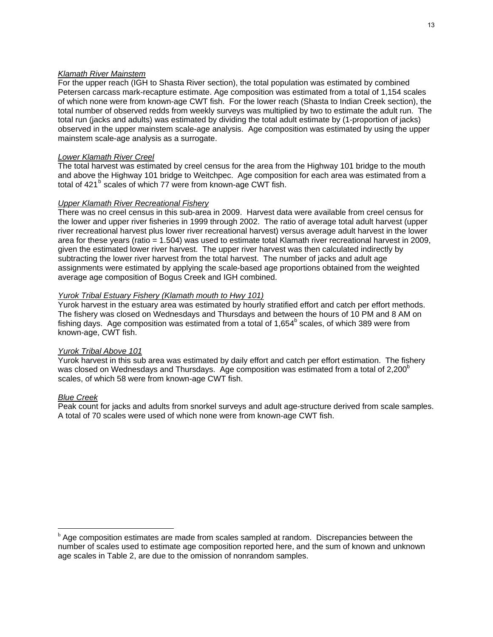#### *Klamath River Mainstem*

For the upper reach (IGH to Shasta River section), the total population was estimated by combined Petersen carcass mark-recapture estimate. Age composition was estimated from a total of 1,154 scales of which none were from known-age CWT fish. For the lower reach (Shasta to Indian Creek section), the total number of observed redds from weekly surveys was multiplied by two to estimate the adult run. The total run (jacks and adults) was estimated by dividing the total adult estimate by (1-proportion of jacks) observed in the upper mainstem scale-age analysis. Age composition was estimated by using the upper mainstem scale-age analysis as a surrogate.

#### *Lower Klamath River Creel*

The total harvest was estimated by creel census for the area from the Highway 101 bridge to the mouth and above the Highway 101 bridge to Weitchpec. Age composition for each area was estimated from a total of 421<sup>[b](#page-12-0)</sup> scales of which 77 were from known-age CWT fish.

#### *Upper Klamath River Recreational Fishery*

There was no creel census in this sub-area in 2009. Harvest data were available from creel census for the lower and upper river fisheries in 1999 through 2002. The ratio of average total adult harvest (upper river recreational harvest plus lower river recreational harvest) versus average adult harvest in the lower area for these years (ratio = 1.504) was used to estimate total Klamath river recreational harvest in 2009, given the estimated lower river harvest. The upper river harvest was then calculated indirectly by subtracting the lower river harvest from the total harvest. The number of jacks and adult age assignments were estimated by applying the scale-based age proportions obtained from the weighted average age composition of Bogus Creek and IGH combined.

#### *Yurok Tribal Estuary Fishery (Klamath mouth to Hwy 101)*

Yurok harvest in the estuary area was estimated by hourly stratified effort and catch per effort methods. The fishery was closed on Wednesdays and Thursdays and between the hours of 10 PM and 8 AM on fishing days. Age composition was estimated from a total of 1,654 $^{\circ}$  scales, of which 389 were from known-age, CWT fish.

#### *Yurok Tribal Above 101*

Yurok harvest in this sub area was estimated by daily effort and catch per effort estimation. The fishery was closed on Wednesdays and Thursdays. Age composition was estimated from a total of 2.200 $^{\circ}$ scales, of which 58 were from known-age CWT fish.

#### *Blue Creek*

 $\overline{a}$ 

Peak count for jacks and adults from snorkel surveys and adult age-structure derived from scale samples. A total of 70 scales were used of which none were from known-age CWT fish.

<span id="page-12-0"></span>**b** Age composition estimates are made from scales sampled at random. Discrepancies between the number of scales used to estimate age composition reported here, and the sum of known and unknown age scales in Table 2, are due to the omission of nonrandom samples.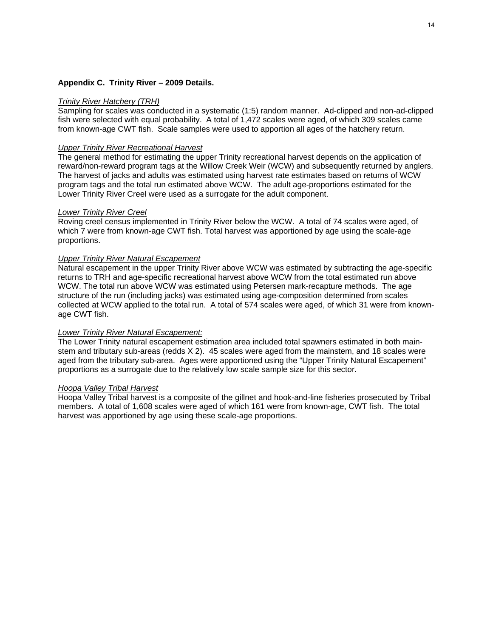#### **Appendix C. Trinity River – 2009 Details.**

#### *Trinity River Hatchery (TRH)*

Sampling for scales was conducted in a systematic (1:5) random manner. Ad-clipped and non-ad-clipped fish were selected with equal probability. A total of 1,472 scales were aged, of which 309 scales came from known-age CWT fish. Scale samples were used to apportion all ages of the hatchery return.

#### *Upper Trinity River Recreational Harvest*

The general method for estimating the upper Trinity recreational harvest depends on the application of reward/non-reward program tags at the Willow Creek Weir (WCW) and subsequently returned by anglers. The harvest of jacks and adults was estimated using harvest rate estimates based on returns of WCW program tags and the total run estimated above WCW. The adult age-proportions estimated for the Lower Trinity River Creel were used as a surrogate for the adult component.

#### *Lower Trinity River Creel*

Roving creel census implemented in Trinity River below the WCW. A total of 74 scales were aged, of which 7 were from known-age CWT fish. Total harvest was apportioned by age using the scale-age proportions.

#### *Upper Trinity River Natural Escapement*

Natural escapement in the upper Trinity River above WCW was estimated by subtracting the age-specific returns to TRH and age-specific recreational harvest above WCW from the total estimated run above WCW. The total run above WCW was estimated using Petersen mark-recapture methods. The age structure of the run (including jacks) was estimated using age-composition determined from scales collected at WCW applied to the total run. A total of 574 scales were aged, of which 31 were from knownage CWT fish.

#### *Lower Trinity River Natural Escapement:*

The Lower Trinity natural escapement estimation area included total spawners estimated in both mainstem and tributary sub-areas (redds X 2). 45 scales were aged from the mainstem, and 18 scales were aged from the tributary sub-area. Ages were apportioned using the "Upper Trinity Natural Escapement" proportions as a surrogate due to the relatively low scale sample size for this sector.

#### *Hoopa Valley Tribal Harvest*

Hoopa Valley Tribal harvest is a composite of the gillnet and hook-and-line fisheries prosecuted by Tribal members. A total of 1,608 scales were aged of which 161 were from known-age, CWT fish. The total harvest was apportioned by age using these scale-age proportions.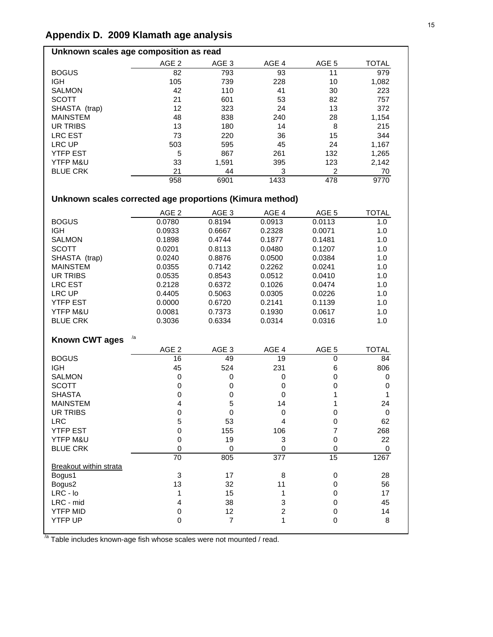# **Appendix D. 2009 Klamath age analysis**

# **Unknown scales age composition as read**

| AGE <sub>2</sub> | AGE 3 | AGE <sub>4</sub> | AGE 5 | <b>TOTAL</b> |
|------------------|-------|------------------|-------|--------------|
| 82               | 793   | 93               | 11    | 979          |
| 105              | 739   | 228              | 10    | 1,082        |
| 42               | 110   | 41               | 30    | 223          |
| 21               | 601   | 53               | 82    | 757          |
| 12               | 323   | 24               | 13    | 372          |
| 48               | 838   | 240              | 28    | 1,154        |
| 13               | 180   | 14               | 8     | 215          |
| 73               | 220   | 36               | 15    | 344          |
| 503              | 595   | 45               | 24    | 1,167        |
| 5                | 867   | 261              | 132   | 1,265        |
| 33               | 1,591 | 395              | 123   | 2,142        |
| 21               | 44    | 3                | 2     | 70           |
| 958              | 6901  | 1433             | 478   | 9770         |
|                  |       |                  |       |              |

# **Unknown scales corrected age proportions (Kimura method)**

|                               | AGE <sub>2</sub>    | AGE <sub>3</sub> | AGE 4            | AGE 5            | <b>TOTAL</b> |
|-------------------------------|---------------------|------------------|------------------|------------------|--------------|
| <b>BOGUS</b>                  | 0.0780              | 0.8194           | 0.0913           | 0.0113           | 1.0          |
| <b>IGH</b>                    | 0.0933              | 0.6667           | 0.2328           | 0.0071           | 1.0          |
| <b>SALMON</b>                 | 0.1898              | 0.4744           | 0.1877           | 0.1481           | 1.0          |
| <b>SCOTT</b>                  | 0.0201              | 0.8113           | 0.0480           | 0.1207           | 1.0          |
| SHASTA (trap)                 | 0.0240              | 0.8876           | 0.0500           | 0.0384           | 1.0          |
| <b>MAINSTEM</b>               | 0.0355              | 0.7142           | 0.2262           | 0.0241           | 1.0          |
| <b>UR TRIBS</b>               | 0.0535              | 0.8543           | 0.0512           | 0.0410           | 1.0          |
| <b>LRC EST</b>                | 0.2128              | 0.6372           | 0.1026           | 0.0474           | 1.0          |
| <b>LRC UP</b>                 | 0.4405              | 0.5063           | 0.0305           | 0.0226           | 1.0          |
| <b>YTFP EST</b>               | 0.0000              | 0.6720           | 0.2141           | 0.1139           | 1.0          |
| YTFP M&U                      | 0.0081              | 0.7373           | 0.1930           | 0.0617           | 1.0          |
| <b>BLUE CRK</b>               | 0.3036              | 0.6334           | 0.0314           | 0.0316           | 1.0          |
|                               |                     |                  |                  |                  |              |
| <b>Known CWT ages</b>         | /a                  |                  |                  |                  |              |
|                               | AGE <sub>2</sub>    | AGE <sub>3</sub> | AGE 4            | AGE <sub>5</sub> | <b>TOTAL</b> |
| <b>BOGUS</b>                  | 16                  | 49               | 19               | 0                | 84           |
| <b>IGH</b>                    | 45                  | 524              | 231              | 6                | 806          |
| <b>SALMON</b>                 | $\mathsf 0$         | 0                | 0                | $\mathbf 0$      | 0            |
| <b>SCOTT</b>                  | 0                   | 0                | $\mathbf 0$      | $\mathbf 0$      | 0            |
| <b>SHASTA</b>                 | 0                   | 0                | $\mathbf 0$      | 1                | 1            |
| <b>MAINSTEM</b>               | 4                   | 5                | 14               | 1                | 24           |
| <b>UR TRIBS</b>               | $\mathbf 0$         | $\pmb{0}$        | $\pmb{0}$        | $\pmb{0}$        | $\mathbf 0$  |
| <b>LRC</b>                    | 5                   | 53               | $\overline{4}$   | $\mathbf 0$      | 62           |
| <b>YTFP EST</b>               | $\mathsf{O}\xspace$ | 155              | 106              | $\overline{7}$   | 268          |
| YTFP M&U                      | $\mathsf 0$         | 19               | $\mathbf 3$      | $\mathbf 0$      | 22           |
| <b>BLUE CRK</b>               | $\mathbf 0$         | 0                | $\mathbf 0$      | $\mathbf 0$      | 0            |
|                               | 70                  | 805              | 377              | 15               | 1267         |
| <b>Breakout within strata</b> |                     |                  |                  |                  |              |
| Bogus1                        | 3                   | 17               | 8                | 0                | 28           |
| Bogus2                        | 13                  | 32               | 11               | $\mathbf 0$      | 56           |
| $LRC - Io$                    | 1                   | 15               | 1                | 0                | 17           |
| LRC - mid                     | 4                   | 38               | 3                | 0                | 45           |
| <b>YTFP MID</b>               | 0                   | 12               | $\boldsymbol{2}$ | $\pmb{0}$        | 14           |
| <b>YTFP UP</b>                | 0                   | $\overline{7}$   | 1                | $\mathbf 0$      | 8            |
|                               |                     |                  |                  |                  |              |

 $\frac{7}{4}$  Table includes known-age fish whose scales were not mounted / read.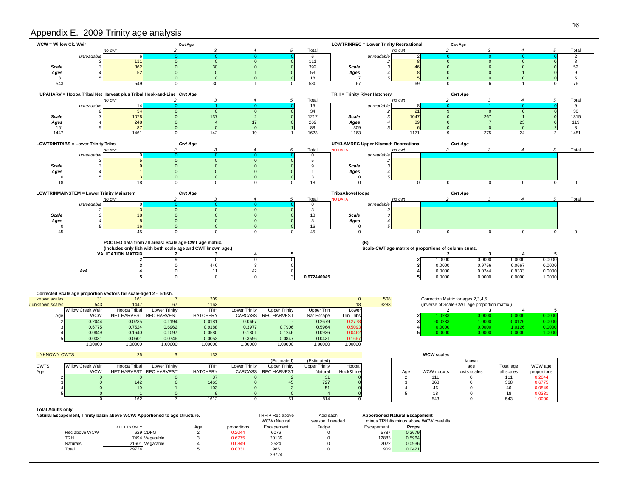## Appendix E. 2009 Trinity age analysis

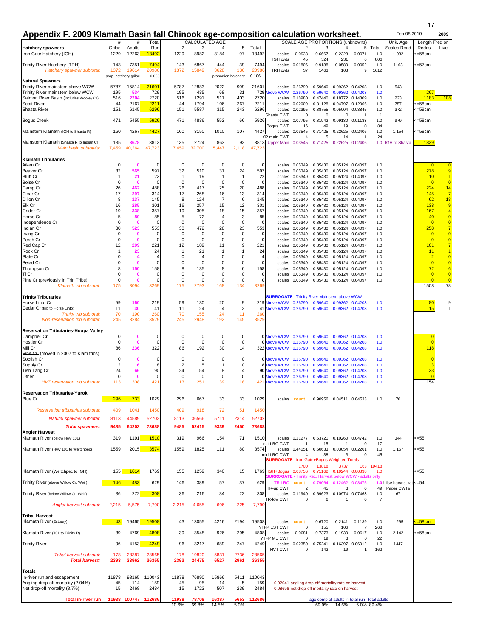17

# Appendix F. 2009 Klamath Basin fall Chinook age-composition calculation worksheet. **1991 12009** 2009

Feb 08 2010

|                                                               | #                     | #                                       | Tota             |                        | <b>CALCULATED AGE</b> |                     |                               |                  |                                                                                                                   |                                | SCALE AGE PROPORTIONS (unknowns)                   |                                    |                          |                | Unk. Age                                | Length Freq or                   |                                  |
|---------------------------------------------------------------|-----------------------|-----------------------------------------|------------------|------------------------|-----------------------|---------------------|-------------------------------|------------------|-------------------------------------------------------------------------------------------------------------------|--------------------------------|----------------------------------------------------|------------------------------------|--------------------------|----------------|-----------------------------------------|----------------------------------|----------------------------------|
| <b>Hatchery spawners</b><br>Iron Gate Hatchery (IGH)          | Grilse<br>1229        | Adults<br>12263                         | Rur<br>13492     | $\overline{2}$<br>1229 | 3<br>8982             | 4<br>3184           | 5<br>97                       | Total<br>13492   | scales                                                                                                            | 2<br>0.0933                    | 3<br>0.6667                                        | 4<br>0.2328                        | 5<br>0.0071              | Total<br>1.0   | Scales Read<br>1,082                    | Redds<br><=58cm                  | Live                             |
|                                                               |                       |                                         |                  |                        |                       |                     |                               |                  | IGH cwts                                                                                                          | 45                             | 524                                                | 231                                | 6                        | 806            |                                         |                                  |                                  |
| Trinity River Hatchery (TRH)<br>Hatchery spawner subtotal:    | 143<br>1372           | 7351<br>19614                           | 7494<br>20986    | 143<br>1372            | 6867<br>15849         | 444<br>3628         | 39<br>136                     | 7494<br>2098     | <b>TRH cwts</b>                                                                                                   | scales 0.01806<br>37           | 0.9188<br>1463                                     | 0.0580<br>103                      | 0.0052<br>9              | 1.0<br>1612    | 1163                                    | <=57cm                           |                                  |
|                                                               | prop. hatchery grilse |                                         | 0.065            |                        |                       | proportion hatchery |                               | 0.186            |                                                                                                                   |                                |                                                    |                                    |                          |                |                                         |                                  |                                  |
| <b>Natural Spawners</b><br>Trinity River mainstem above WCW   | 5787                  | 15814                                   | 2160             | 5787                   | 12883                 | 2022                | 909                           | 21601            |                                                                                                                   | scales 0.26790                 | 0.59640                                            | 0.09362 0.04208                    |                          | 1.0            | 543                                     |                                  |                                  |
| Trinity River mainstem below WCW                              | 195                   | 534                                     | 729              | 195                    | 435                   | 68                  | 31                            | 729⊉             | <b>Above WCW</b>                                                                                                  | 0.26790                        | 0.59640                                            | 0.09362                            | 0.04208                  | 1.0            |                                         | 267                              |                                  |
| Salmon River Basin (includes Wooley Cr)<br><b>Scott River</b> | 516<br>44             | 2204<br>2167                            | 2720<br>221      | 516<br>44              | 1291<br>1794          | 511<br>106          | 403<br>267                    | 2720<br>2211     | scales<br>scales                                                                                                  | 0.18980<br>0.02009             | 0.47440<br>0.81128                                 | 0.18772 0.14809                    | 0.04797 0.12066          | 1.0<br>1.0     | 223<br>757                              | 1183<br><=58cm                   | 108                              |
| Shasta River                                                  | 151                   | 6145                                    | 6296             | 151                    | 5587                  | 315                 | 243                           | 6296             | scales                                                                                                            | 0.02395                        | 0.88755                                            | 0.05004                            | 0.03845                  | 1.0            | 372                                     | <=59cm                           |                                  |
| <b>Bogus Creek</b>                                            | 471                   | 5455                                    | 5926             | 471                    | 4836                  | 552                 | 66                            | 5926             | Shasta CWT<br>scales                                                                                              | 0<br>0.07795                   | 0<br>0.81942                                       | 0<br>0.09130                       | -1<br>0.01133            | -1<br>1.0      | 979                                     | <=58cm                           |                                  |
|                                                               |                       |                                         |                  |                        |                       |                     |                               |                  | Bogus CWT                                                                                                         | 16                             | 49                                                 | 19                                 | $\Omega$                 | 84             |                                         |                                  |                                  |
| Mainstem Klamath (IGH to Shasta R)                            | 160                   | 4267                                    | 4427             | 160                    | 3150                  | 1010                | 107                           | 4427             | scales<br><b>KR</b> main CWT                                                                                      | 0.03545<br>4                   | 0.71425<br>5                                       | 14                                 | 0.22625 0.02406          | 1.0<br>24      | 1,154                                   | <=58cm                           |                                  |
| Mainstem Klamath (Shasta R to Indian Cr)                      | 135                   | 3678                                    | 3813             | 135                    | 2724                  | 863                 | 92                            |                  | 3813 Upper Main 0.03545                                                                                           |                                | 0.71425                                            | 0.22625 0.02406                    |                          |                | 1.0 IGH to Shasta                       | 1839                             |                                  |
| Main basin subtotals:                                         | 7,459                 | 40,264                                  | 47,723           | 7,459                  | 32,700                | 5,447               | 2,118                         | 47,72            |                                                                                                                   |                                |                                                    |                                    |                          |                |                                         |                                  |                                  |
| <b>Klamath Tributaries</b>                                    |                       |                                         |                  |                        |                       |                     |                               |                  |                                                                                                                   |                                |                                                    |                                    |                          |                |                                         |                                  |                                  |
| Aiken Cr<br>Beaver Cr                                         | 0<br>32               | $\mathbf 0$<br>565                      | $\Omega$<br>597  | 0<br>32                | $^{\circ}$<br>510     | 0<br>31             | 0<br>24                       | $\Omega$<br>597  | scales<br>scales                                                                                                  | 0.05349<br>0.05349             | 0.85430<br>0.85430                                 | 0.05124 0.04097<br>0.05124         | 0.04097                  | 1.0<br>1.0     |                                         | $\Omega$<br>278                  | $\overline{0}$<br>9              |
| <b>Bluff Cr</b>                                               | $\mathbf{1}$          | 21                                      | 22               | $\overline{1}$         | 19                    | $\mathbf{1}$        | 1                             | 22               | scales                                                                                                            | 0.05349                        | 0.85430                                            | 0.05124 0.04097                    |                          | 1.0            |                                         | 10                               | 1                                |
| Boise Cr<br>Camp Cr                                           | 0<br>26               | $\mathbf 0$<br>462                      | $\Omega$<br>488  | 0<br>26                | $^{\circ}$<br>417     | $\Omega$<br>25      | $\mathbf 0$<br>20             | $\Omega$<br>488  | scales<br>scales                                                                                                  | 0.05349<br>0.05349             | 0.85430<br>0.85430                                 | 0.05124 0.04097<br>0.05124 0.04097 |                          | 1.0<br>1.0     |                                         | $\overline{0}$<br>224            | $\overline{0}$<br>14             |
| Clear Cr                                                      | 17                    | 297                                     | 314              | 17                     | 268                   | 16                  | 13                            | 314              | scales                                                                                                            | 0.05349                        | 0.85430                                            | 0.05124 0.04097                    |                          | 1.0            |                                         | 145                              | $\overline{7}$                   |
| Dillon Cr                                                     | 8                     | 137                                     | 145              | 8                      | 124                   | $\overline{7}$      | 6                             | 145              | scales                                                                                                            | 0.05349                        | 0.85430                                            | 0.05124 0.04097                    |                          | 1.0            |                                         | 62                               | 13                               |
| Elk Cr<br>Grider Cr                                           | 16<br>19              | 285<br>338                              | 301<br>357       | 16<br>19               | 257<br>305            | 15<br>18            | 12<br>15                      | 301<br>357       | scales<br>scales                                                                                                  | 0.05349<br>0.05349             | 0.85430<br>0.85430                                 | 0.05124 0.04097<br>0.05124 0.04097 |                          | 1.0<br>1.0     |                                         | 138<br>167                       | 9                                |
| Horse Cr                                                      | 5                     | 80                                      | 85               | 5                      | 72                    | $\overline{4}$      | 3                             | 85               | scales                                                                                                            | 0.05349                        | 0.85430                                            |                                    | 0.05124 0.04097          | 1.0            |                                         | 40                               | $\overline{0}$                   |
| Independence Cr<br>Indian Cr                                  | $\mathbf 0$<br>30     | $\mathbf 0$<br>523                      | n<br>553         | $\mathbf 0$<br>30      | $\mathbf 0$<br>472    | $\mathbf 0$<br>28   | $\mathbf 0$<br>23             | n<br>553         | scales                                                                                                            | 0.05349<br>scales 0.05349      | 0.85430<br>0.85430                                 | 0.05124 0.04097<br>0.05124 0.04097 |                          | 1.0<br>1.0     |                                         | $\overline{0}$<br>258            | $\overline{0}$                   |
| Irving Cr                                                     | 0                     | $\mathbf 0$                             | $\Omega$         | 0                      | 0                     | 0                   | 0                             | O                | scales                                                                                                            | 0.05349                        | 0.85430                                            | 0.05124 0.04097                    |                          | 1.0            |                                         | $\overline{0}$                   | $\overline{0}$                   |
| Perch Cr<br>Red Cap Cr                                        | $\mathbf 0$<br>12     | $\mathbf 0$<br>209                      | $\Omega$<br>221  | $\mathbf 0$<br>12      | $\mathbf 0$<br>189    | $\mathbf 0$<br>11   | $\mathbf 0$<br>9              | $\Omega$<br>221  | scales<br>scales                                                                                                  | 0.05349<br>0.05349             | 0.85430<br>0.85430                                 | 0.05124 0.04097<br>0.05124 0.04097 |                          | 1.0<br>1.0     |                                         | $\Omega$<br>101                  | $\overline{0}$<br>$\overline{7}$ |
| Rock Cr                                                       | -1                    | 23                                      | 24               | $\mathbf{1}$           | 21                    | -1                  | 1                             | 24               | scales                                                                                                            | 0.05349                        | 0.85430                                            | 0.05124 0.04097                    |                          | 1.0            |                                         | 11                               |                                  |
| Slate Cr<br>Seiad Cr                                          | 0<br>$\mathbf 0$      | $\overline{\mathbf{4}}$<br>$\mathbf{0}$ | n                | 0<br>$\mathbf 0$       | $\overline{4}$<br>0   | 0<br>0              | 0<br>$\mathbf 0$              | $\mathbf 0$      | scales                                                                                                            | 0.05349                        | 0.85430<br>0.85430                                 | 0.05124 0.04097                    |                          | 1.0            |                                         | $\overline{2}$<br>$\overline{0}$ | $\overline{0}$<br>$\overline{0}$ |
| Thompson Cr                                                   | 8                     | 150                                     | 158              | 8                      | 135                   | 8                   | 6                             | 158              | scales<br>scales                                                                                                  | 0.05349<br>0.05349             | 0.85430                                            | 0.05124 0.04097                    | 0.05124 0.04097          | 1.0<br>1.0     |                                         | 72                               | 6                                |
| Ti Cr                                                         | $\mathbf 0$           | $\mathbf 0$                             | $\Omega$         | $\mathbf 0$            | 0                     | $\mathbf 0$         | $\pmb{0}$                     | 0                | scales                                                                                                            | 0.05349                        | 0.85430                                            | 0.05124 0.04097                    |                          | 1.0            |                                         | $\overline{0}$                   | $\overline{0}$                   |
| Pine Cr (previously in Trin Tribs)<br>Klamath trib subtotal:  | $\mathbf 0$<br>175    | $\mathbf 0$<br>3094                     | $\Omega$<br>3269 | $\mathbf 0$<br>175     | $\mathbf 0$<br>2793   | $\mathbf 0$<br>168  | $\mathbf 0$<br>134            | $\Omega$<br>3269 |                                                                                                                   | scales 0.05349                 | 0.85430                                            | 0.05124 0.04097                    |                          | 1.0            |                                         | $\overline{0}$<br>1508           | $\overline{0}$<br>78             |
| <b>Trinity Tributaries</b>                                    |                       |                                         |                  |                        |                       |                     |                               |                  | <b>SURROGATE - Trinity River Mainstem above WCW</b>                                                               |                                |                                                    |                                    |                          |                |                                         |                                  |                                  |
| Horse Linto Cr                                                | 59                    | 160                                     | 219              | 59                     | 130                   | 20                  | 9                             |                  | 219 Above WCW                                                                                                     | 0.26790                        | 0.59640                                            | 0.09362                            | 0.04208                  | 1.0            |                                         | 80                               | 9                                |
| Cedar Cr (trib to Horse Linto)                                | 11                    | 30                                      | 41               | 11                     | 24                    | 4                   | $\overline{2}$                | 41               | Above WCW                                                                                                         | 0.26790                        | 0.59640                                            | 0.09362                            | 0.04208                  | 1.0            |                                         | 15                               |                                  |
| Trinity trib subtotal:<br>Non-reservation trib subtotal:      | 70<br>245             | 190<br>3284                             | 260<br>3529      | 70<br>245              | 155<br>2948           | 24<br>192           | 11<br>145                     | 26<br>352        |                                                                                                                   |                                |                                                    |                                    |                          |                |                                         |                                  |                                  |
| <b>Reservation Tributaries-Hoopa Valley</b>                   |                       |                                         |                  |                        |                       |                     |                               |                  |                                                                                                                   |                                |                                                    |                                    |                          |                |                                         |                                  |                                  |
| Campbell Cr                                                   | 0                     | $\mathbf 0$                             | $\Omega$         | 0                      | 0                     | 0                   | 0                             |                  | 0 Above WCW 0.26790                                                                                               |                                | 0.59640                                            | 0.09362                            | 0.04208                  | 1.0            |                                         |                                  |                                  |
| Hostler Cr                                                    | $\mathbf 0$           | $\mathbf 0$                             | $\Omega$         | $\mathbf 0$            | $\mathbf 0$           | $\mathbf 0$         | $\mathbf 0$                   |                  | 0 Above WCW                                                                                                       | 0.26790                        | 0.59640                                            | 0.09362                            | 0.04208                  | 1.0            |                                         |                                  |                                  |
| Mill Cr<br>Pine Cr. (moved in 2007 to Klam tribs)             | 86                    | 236                                     | 322              | 86                     | 192                   | 30                  | 14                            |                  | 322 Above WCW                                                                                                     | 0.26790                        | 0.59640                                            | 0.09362                            | 0.04208                  | 1.0            |                                         | 118                              |                                  |
| Soctish Cr                                                    | 0                     | $\mathbf 0$                             | $\Omega$         | 0                      | 0                     | 0                   | $\mathbf 0$                   |                  | 0 Above WCW 0.26790                                                                                               |                                | 0.59640                                            | 0.09362                            | 0.04208                  | 1.0            |                                         |                                  |                                  |
| Supply Cr<br><b>Tish Tang Cr</b>                              | $\overline{2}$<br>24  | 6<br>66                                 | 8<br>90          | $\overline{2}$<br>24   | 5<br>54               | 1<br>8              | $\mathbf 0$<br>$\overline{4}$ |                  | 8 Above WCW<br>90 Above WCW                                                                                       | 0.26790<br>0.26790             | 0.59640<br>0.59640                                 | 0.09362<br>0.09362                 | 0.04208<br>0.04208       | 1.0<br>1.0     |                                         | 33                               |                                  |
| Other                                                         | 0                     | 0                                       | $\Omega$         | 0                      | 0                     | 0                   | 0                             |                  | 0 Above WCW                                                                                                       | 0.26790                        | 0.59640                                            | 0.09362                            | 0.04208                  | 1.0            |                                         | $\overline{0}$                   |                                  |
| HVT reservation trib subtotal:                                | 113                   | 308                                     | 421              | 113                    | 251                   | 39                  | 18                            | 421              | bove WCW                                                                                                          | 0.26790                        | 0.59640                                            | 0.09362                            | 0.04208                  | 1.0            |                                         | 154                              |                                  |
| <b>Reservation Tributaries-Yurok</b>                          |                       |                                         |                  |                        |                       |                     |                               |                  |                                                                                                                   |                                |                                                    |                                    |                          |                |                                         |                                  |                                  |
| <b>Blue Cr</b>                                                | 296                   |                                         | 1029             | 296                    | 667                   | 33                  | 33                            | 1029             |                                                                                                                   | scales count                   | 0.90956                                            |                                    | 0.04511 0.04533          | 1.0            | 70                                      |                                  |                                  |
| <b>Reservation tributaries subtotal:</b>                      | 409                   | 1041                                    | 1450             | 409                    | 918                   | 72                  | 51                            | 1450             |                                                                                                                   |                                |                                                    |                                    |                          |                |                                         |                                  |                                  |
| Natural spawner subtotal:                                     | 8113                  | 44589                                   | 52702            | 8113                   | 36566                 | 5711                | 2314                          | 52702            |                                                                                                                   |                                |                                                    |                                    |                          |                |                                         |                                  |                                  |
| <b>Total spawners:</b><br><b>Angler Harvest</b>               | 9485                  | 64203                                   | 73688            | 9485                   | 52415                 | 9339                | 2450                          | 73688            |                                                                                                                   |                                |                                                    |                                    |                          |                |                                         |                                  |                                  |
| Klamath River (below Hwy 101)                                 | 319                   | 1191                                    | 151(             | 319                    | 966                   | 154                 | 71                            | 1510             |                                                                                                                   | scales 0.21277                 |                                                    | 0.63721 0.10260 0.04742            |                          | 1.0            | 344                                     | <=55                             |                                  |
| Klamath River (Hwy 101 to Weitchpec)                          | 1559                  | 2015                                    | 3574             | 1559                   | 1825                  | 111                 | 80                            | 3574             | est-LRC CWT                                                                                                       | $\mathbf{1}$<br>scales 0.44051 | 15<br>0.50633                                      | $\mathbf{1}$<br>0.03054 0.02261    | 0                        | 17<br>1.0      | 1,167                                   | <=55                             |                                  |
|                                                               |                       |                                         |                  |                        |                       |                     |                               |                  | mid-LRC CWT<br><b>SURROGATE - Iron Gate+Bogus Weighted Totals</b>                                                 | 4                              | 38                                                 | 3                                  | $\Omega$                 | 45             |                                         |                                  |                                  |
|                                                               |                       |                                         |                  |                        |                       |                     |                               |                  |                                                                                                                   | 1700                           | 13818                                              | 3737                               |                          | 163 19418      |                                         |                                  |                                  |
| Klamath River (Weitchpec to IGH)                              | 155                   | 1614                                    | 1769             | 155                    | 1259                  | 340                 | 15                            |                  | 1769 IGH+Bogus 0.08756 0.71162 0.19244 0.00838<br><b>SURROGATE</b> - Trinity Rec. Harvest below WCW - adults only |                                |                                                    |                                    |                          | 1.0            |                                         | <=55                             |                                  |
| Trinity River (above Willow Cr. Weir)                         | 146                   | 483                                     | 629              | 146                    | 389                   | 57                  | 37                            | 629              | TR LRC<br>TR-up CWT                                                                                               | count<br>$\overline{2}$        | 0.79064<br>45                                      | 0.12462 0.08475<br>3               | $\Omega$                 |                | 1.0 trilse harvest rat<br>49 Paper CWTs | $= 54$                           |                                  |
| Trinity River (below Willow Cr. Weir)                         | 36                    | 272                                     | 308              | 36                     | 216                   | 34                  | 22                            | 308              |                                                                                                                   | scales 0.11940                 |                                                    | 0.69623 0.10974 0.07463            |                          | 1.0            | 67                                      |                                  |                                  |
| Angler harvest subtotal:                                      | 2,215                 | 5,575                                   | 7,790            | 2,215                  | 4,655                 | 696                 | 225                           | 7,790            | TR-low CWT                                                                                                        | 0                              | 6                                                  | 1                                  | $\Omega$                 | $\overline{7}$ |                                         |                                  |                                  |
|                                                               |                       |                                         |                  |                        |                       |                     |                               |                  |                                                                                                                   |                                |                                                    |                                    |                          |                |                                         |                                  |                                  |
| <b>Tribal Harvest</b><br>Klamath River (Estuary)              | 43                    | 19465                                   | 19508            | 43                     | 13055                 | 4216                | 2194                          | 19508            | scales                                                                                                            | count                          | 0.6720                                             | 0.2141                             | 0.1139                   | 1.0            | 1,265                                   | $=58cm$                          |                                  |
| Klamath River (101 to Trinity R)                              | 39                    | 4769                                    | 4808             | 39                     | 3548                  | 926                 | 295                           | 4808             | YTFP EST CWT<br>scales                                                                                            | $\mathbf 0$<br>0.0081          | 155<br>0.7373                                      | 106<br>0.1930                      | $\overline{7}$<br>0.0617 | 268<br>1.0     | 2,142                                   | <=58cm                           |                                  |
|                                                               |                       |                                         |                  |                        |                       |                     |                               |                  | YTFP MU CWT                                                                                                       | $\mathbf 0$                    | 19                                                 | 3                                  | $\mathbf 0$              | 22             |                                         |                                  |                                  |
| <b>Trinity River</b>                                          | 96                    | 4153                                    | 4249             | 96                     | 3217                  | 689                 | 247                           | 4249             | HVT CWT                                                                                                           | scales 0.02350<br>0            | 0.75241<br>142                                     | 0.16397<br>19                      | 0.06012<br>1             | 1.0<br>162     | 1447                                    |                                  |                                  |
| Tribal harvest subtotal:<br><b>Total harvest:</b>             | 178<br>2393           | 28387<br>33962                          | 28565<br>36355   | 178<br>2393            | 19820<br>24475        | 5831<br>6527        | 2736<br>2961                  | 28565<br>36355   |                                                                                                                   |                                |                                                    |                                    |                          |                |                                         |                                  |                                  |
|                                                               |                       |                                         |                  |                        |                       |                     |                               |                  |                                                                                                                   |                                |                                                    |                                    |                          |                |                                         |                                  |                                  |
| <b>Totals</b><br>In-river run and escapement                  | 11878                 | 98165                                   | 110043           | 11878                  | 76890                 | 15866               | 5411                          | 110043           |                                                                                                                   |                                |                                                    |                                    |                          |                |                                         |                                  |                                  |
| Angling drop-off mortality (2.04%)                            | 45                    | 114                                     | 159              | 45                     | 95                    | 14                  | 5                             | 159              |                                                                                                                   |                                | 0.02041 angling drop-off mortality rate on harvest |                                    |                          |                |                                         |                                  |                                  |
| Net drop-off mortality (8.7%)                                 | 15                    | 2468                                    | 2484             | 15                     | 1723                  | 507                 | 239                           | 2484             |                                                                                                                   |                                | 0.08696 net drop-off mortality rate on harvest     |                                    |                          |                |                                         |                                  |                                  |
| Total in-river run                                            |                       | 11938 100747                            | 112686           | 11938                  | 78708                 | 16387               | 5653                          | 112686           |                                                                                                                   |                                | age comp of adults in total run total adults       |                                    |                          |                |                                         |                                  |                                  |
|                                                               |                       |                                         |                  | 10.6%                  | 69.8%                 | 14.5%               | 5.0%                          |                  |                                                                                                                   |                                | 69.9%                                              | 14.6%                              |                          | 5.0% 89.4%     |                                         |                                  |                                  |